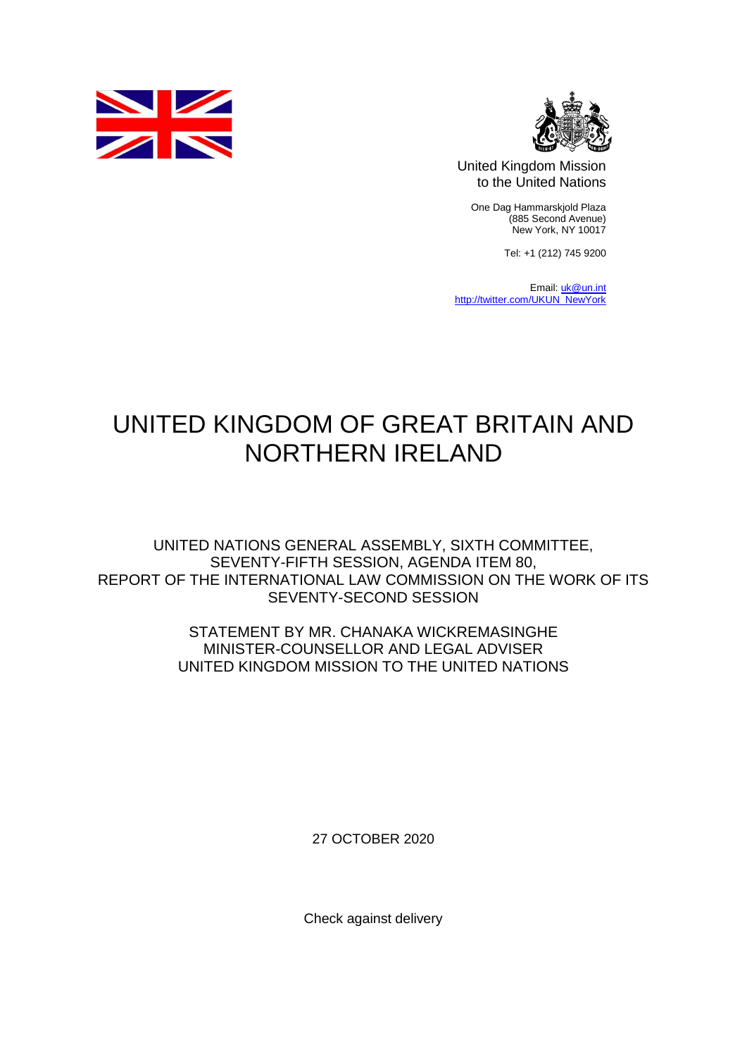



United Kingdom Mission to the United Nations

One Dag Hammarskjold Plaza (885 Second Avenue) New York, NY 10017

Tel: +1 (212) 745 9200

Email: [uk@un.int](mailto:uk@un.int) [http://twitter.com/UKUN\\_NewYork](http://twitter.com/UKUN_NewYork)

## UNITED KINGDOM OF GREAT BRITAIN AND NORTHERN IRELAND

UNITED NATIONS GENERAL ASSEMBLY, SIXTH COMMITTEE, SEVENTY-FIFTH SESSION, AGENDA ITEM 80, REPORT OF THE INTERNATIONAL LAW COMMISSION ON THE WORK OF ITS SEVENTY-SECOND SESSION

> STATEMENT BY MR. CHANAKA WICKREMASINGHE MINISTER-COUNSELLOR AND LEGAL ADVISER UNITED KINGDOM MISSION TO THE UNITED NATIONS

> > 27 OCTOBER 2020

Check against delivery